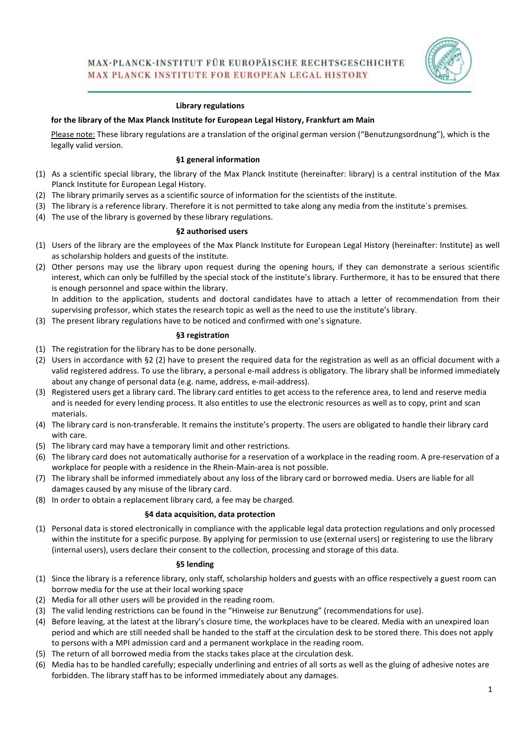

#### Library regulations

#### for the library of the Max Planck Institute for European Legal History, Frankfurt am Main

Please note: These library regulations are a translation of the original german version ("Benutzungsordnung"), which is the legally valid version.

#### §1 general information

- (1) As a scientific special library, the library of the Max Planck Institute (hereinafter: library) is a central institution of the Max Planck Institute for European Legal History.
- (2) The library primarily serves as a scientific source of information for the scientists of the institute.
- (3) The library is a reference library. Therefore it is not permitted to take along any media from the institute´s premises.
- (4) The use of the library is governed by these library regulations.

#### §2 authorised users

- (1) Users of the library are the employees of the Max Planck Institute for European Legal History (hereinafter: Institute) as well as scholarship holders and guests of the institute.
- (2) Other persons may use the library upon request during the opening hours, if they can demonstrate a serious scientific interest, which can only be fulfilled by the special stock of the institute's library. Furthermore, it has to be ensured that there is enough personnel and space within the library.

In addition to the application, students and doctoral candidates have to attach a letter of recommendation from their supervising professor, which states the research topic as well as the need to use the institute's library.

(3) The present library regulations have to be noticed and confirmed with one's signature.

#### §3 registration

- (1) The registration for the library has to be done personally.
- (2) Users in accordance with §2 (2) have to present the required data for the registration as well as an official document with a valid registered address. To use the library, a personal e-mail address is obligatory. The library shall be informed immediately about any change of personal data (e.g. name, address, e-mail-address).
- (3) Registered users get a library card. The library card entitles to get access to the reference area, to lend and reserve media and is needed for every lending process. It also entitles to use the electronic resources as well as to copy, print and scan materials.
- (4) The library card is non-transferable. It remains the institute's property. The users are obligated to handle their library card with care.
- (5) The library card may have a temporary limit and other restrictions.
- (6) The library card does not automatically authorise for a reservation of a workplace in the reading room. A pre-reservation of a workplace for people with a residence in the Rhein-Main-area is not possible.
- (7) The library shall be informed immediately about any loss of the library card or borrowed media. Users are liable for all damages caused by any misuse of the library card.
- (8) In order to obtain a replacement library card, a fee may be charged.

#### §4 data acquisition, data protection

(1) Personal data is stored electronically in compliance with the applicable legal data protection regulations and only processed within the institute for a specific purpose. By applying for permission to use (external users) or registering to use the library (internal users), users declare their consent to the collection, processing and storage of this data.

#### §5 lending

- (1) Since the library is a reference library, only staff, scholarship holders and guests with an office respectively a guest room can borrow media for the use at their local working space
- (2) Media for all other users will be provided in the reading room.
- (3) The valid lending restrictions can be found in the "Hinweise zur Benutzung" (recommendations for use).
- (4) Before leaving, at the latest at the library's closure time, the workplaces have to be cleared. Media with an unexpired loan period and which are still needed shall be handed to the staff at the circulation desk to be stored there. This does not apply to persons with a MPI admission card and a permanent workplace in the reading room.
- (5) The return of all borrowed media from the stacks takes place at the circulation desk.
- (6) Media has to be handled carefully; especially underlining and entries of all sorts as well as the gluing of adhesive notes are forbidden. The library staff has to be informed immediately about any damages.